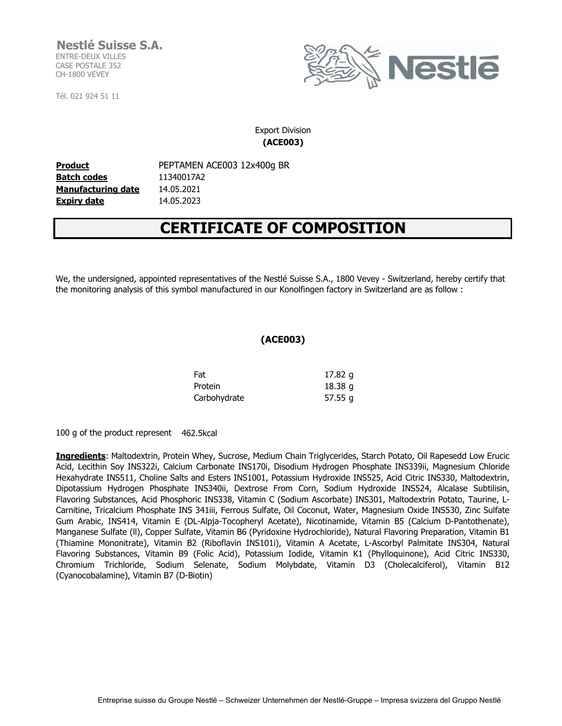**Nestlé Suisse S.A.** ENTRE-DEUX VILLES CASE POSTALE 352 CH-1800 VEVEY

Tél. 021 924 51 11



Export Division **(ACE003)**

**Batch codes** 11340017A2 **Manufacturing date** 14.05.2021 **Expiry date** 14.05.2023

**Product** PEPTAMEN ACE003 12x400g BR

## **CERTIFICATE OF COMPOSITION**

We, the undersigned, appointed representatives of the Nestlé Suisse S.A., 1800 Vevey - Switzerland, hereby certify that the monitoring analysis of this symbol manufactured in our Konolfingen factory in Switzerland are as follow :

## **(ACE003)**

| Fat          | 17.82 g |  |
|--------------|---------|--|
| Protein      | 18.38g  |  |
| Carbohydrate | 57.55q  |  |

100 g of the product represent 462.5kcal

**Ingredients**: Maltodextrin, Protein Whey, Sucrose, Medium Chain Triglycerides, Starch Potato, Oil Rapesedd Low Erucic Acid, Lecithin Soy INS322i, Calcium Carbonate INS170i, Disodium Hydrogen Phosphate INS339ii, Magnesium Chloride Hexahydrate INS511, Choline Salts and Esters INS1001, Potassium Hydroxide INS525, Acid Citric INS330, Maltodextrin, Dipotassium Hydrogen Phosphate INS340ii, Dextrose From Corn, Sodium Hydroxide INS524, Alcalase Subtilisin, Flavoring Substances, Acid Phosphoric INS338, Vitamin C (Sodium Ascorbate) INS301, Maltodextrin Potato, Taurine, L-Carnitine, Tricalcium Phosphate INS 341iii, Ferrous Sulfate, Oil Coconut, Water, Magnesium Oxide INS530, Zinc Sulfate Gum Arabic, INS414, Vitamin E (DL-Alpja-Tocopheryl Acetate), Nicotinamide, Vitamin B5 (Calcium D-Pantothenate), Manganese Sulfate (ll), Copper Sulfate, Vitamin B6 (Pyridoxine Hydrochloride), Natural Flavoring Preparation, Vitamin B1 (Thiamine Mononitrate), Vitamin B2 (Riboflavin INS101i), Vitamin A Acetate, L-Ascorbyl Palmitate INS304, Natural Flavoring Substances, Vitamin B9 (Folic Acid), Potassium Iodide, Vitamin K1 (Phylloquinone), Acid Citric INS330, Chromium Trichloride, Sodium Selenate, Sodium Molybdate, Vitamin D3 (Cholecalciferol), Vitamin B12 (Cyanocobalamine), Vitamin B7 (D-Biotin)